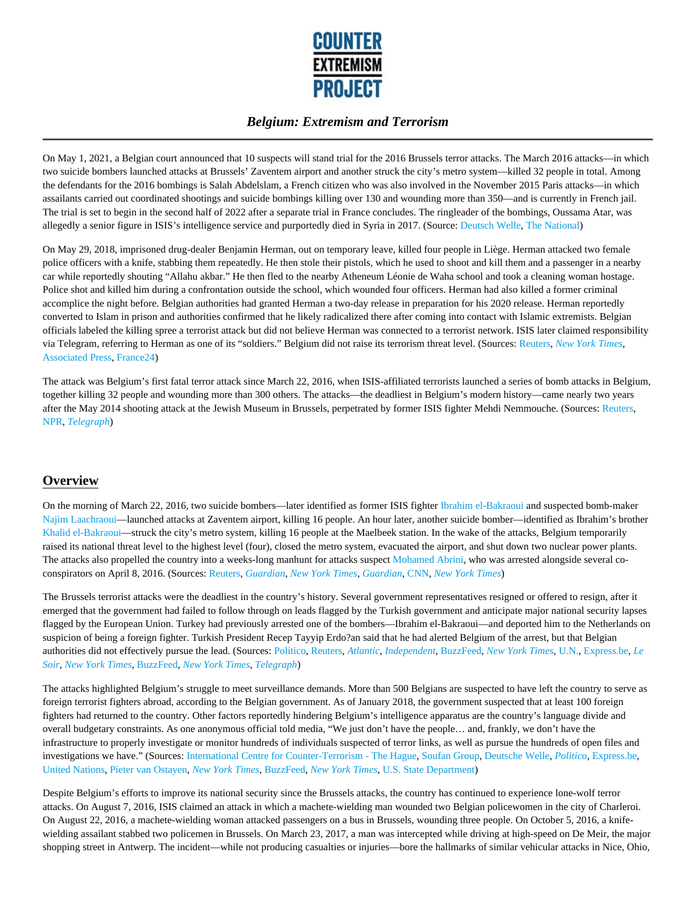

On May 1, 2021, a Belgian court announced that 10 suspects will stand trial for the 2016 Brussels terror attacks. The March 2016 attacks—in which two suicide bombers launched attacks at Brussels' Zaventem airport and another struck the city's metro system—killed 32 people in total. Among the defendants for the 2016 bombings is Salah Abdelslam, a French citizen who was also involved in the November 2015 Paris attacks—in which assailants carried out coordinated shootings and suicide bombings killing over 130 and wounding more than 350—and is currently in French jail. The trial is set to begin in the second half of 2022 after a separate trial in France concludes. The ringleader of the bombings, Oussama Atar, was allegedly a senior figure in ISIS's intelligence service and purportedly died in Syria in 2017. (Source: Deutsch Welle, The National)

On May 29, 2018, imprisoned drug-dealer Benjamin Herman, out on temporary leave, killed four people in Liège. Herman attacked two female police officers with a knife, stabbing them repeatedly. He then stole their pistols, which he used to shoot and kill them and a passenger in a nearby car while reportedly shouting "Allahu akbar." He then fled to the nearby Atheneum Léonie de Waha school and took a cleaning woman hostage. Police shot and killed him during a confrontation outside the school, which wounded four officers. Herman had also killed a former criminal accomplice the night before. Belgian authorities had granted Herman a two-day release in preparation for his 2020 release. Herman reportedly converted to Islam in prison and authorities confirmed that he likely radicalized there after coming into contact with Islamic extremists. Belgian officials labeled the killing spree a terrorist attack but did not believe Herman was connected to a terrorist network. ISIS later claimed responsibility via Telegram, referring to Herman as one of its "soldiers." Belgium did not raise its terrorism threat level. (Sources: Reuters, *New York Times*, Associated Press, France24)

The attack was Belgium's first fatal terror attack since March 22, 2016, when ISIS-affiliated terrorists launched a series of bomb attacks in Belgium, together killing 32 people and wounding more than 300 others. The attacks—the deadliest in Belgium's modern history—came nearly two years after the May 2014 shooting attack at the Jewish Museum in Brussels, perpetrated by former ISIS fighter Mehdi Nemmouche. (Sources: Reuters, NPR, *Telegraph*)

## **Overview**

On the morning of March 22, 2016, two suicide bombers—later identified as former ISIS fighter Ibrahim el-Bakraoui and suspected bomb-maker Najim Laachraoui—launched attacks at Zaventem airport, killing 16 people. An hour later, another suicide bomber—identified as Ibrahim's brother Khalid el-Bakraoui—struck the city's metro system, killing 16 people at the Maelbeek station. In the wake of the attacks, Belgium temporarily raised its national threat level to the highest level (four), closed the metro system, evacuated the airport, and shut down two nuclear power plants. The attacks also propelled the country into a weeks-long manhunt for attacks suspect Mohamed Abrini, who was arrested alongside several coconspirators on April 8, 2016. (Sources: Reuters, *Guardian*, *New York Times*, *Guardian*, CNN, *New York Times*)

The Brussels terrorist attacks were the deadliest in the country's history. Several government representatives resigned or offered to resign, after it emerged that the government had failed to follow through on leads flagged by the Turkish government and anticipate major national security lapses flagged by the European Union. Turkey had previously arrested one of the bombers—Ibrahim el-Bakraoui—and deported him to the Netherlands on suspicion of being a foreign fighter. Turkish President Recep Tayyip Erdo?an said that he had alerted Belgium of the arrest, but that Belgian authorities did not effectively pursue the lead. (Sources: Politico, Reuters, *Atlantic*, *Independent*, BuzzFeed, *New York Times*, U.N., Express.be, *Le Soir*, *New York Times*, BuzzFeed, *New York Times*, *Telegraph*)

The attacks highlighted Belgium's struggle to meet surveillance demands. More than 500 Belgians are suspected to have left the country to serve as foreign terrorist fighters abroad, according to the Belgian government. As of January 2018, the government suspected that at least 100 foreign fighters had returned to the country. Other factors reportedly hindering Belgium's intelligence apparatus are the country's language divide and overall budgetary constraints. As one anonymous official told media, "We just don't have the people… and, frankly, we don't have the infrastructure to properly investigate or monitor hundreds of individuals suspected of terror links, as well as pursue the hundreds of open files and investigations we have." (Sources: International Centre for Counter-Terrorism - The Hague, Soufan Group, Deutsche Welle, *Politico*, Express.be, United Nations, Pieter van Ostayen, *New York Times*, BuzzFeed, *New York Times*, U.S. State Department)

Despite Belgium's efforts to improve its national security since the Brussels attacks, the country has continued to experience lone-wolf terror attacks. On August 7, 2016, ISIS claimed an attack in which a machete-wielding man wounded two Belgian policewomen in the city of Charleroi. On August 22, 2016, a machete-wielding woman attacked passengers on a bus in Brussels, wounding three people. On October 5, 2016, a knifewielding assailant stabbed two policemen in Brussels. On March 23, 2017, a man was intercepted while driving at high-speed on De Meir, the major shopping street in Antwerp. The incident—while not producing casualties or injuries—bore the hallmarks of similar vehicular attacks in Nice, Ohio,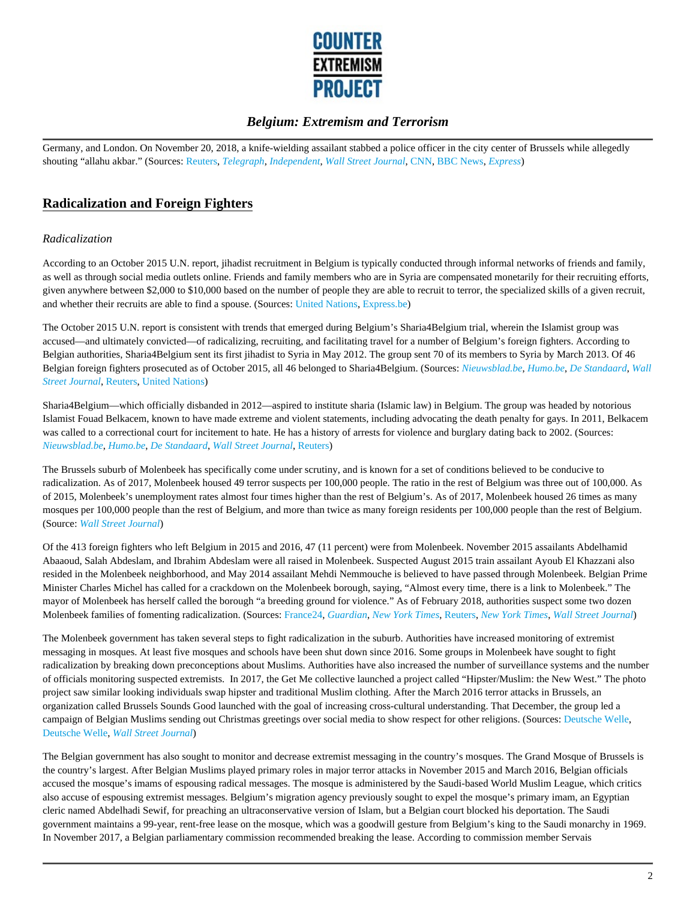

Germany, and London. On November 20, 2018, a knife-wielding assailant stabbed a police officer in the city center of Brussels while allegedly shouting "allahu akbar." (Sources: Reuters, *Telegraph*, *Independent*, *Wall Street Journal*, CNN, BBC News, *Express*)

## **Radicalization and Foreign Fighters**

#### *Radicalization*

According to an October 2015 U.N. report, jihadist recruitment in Belgium is typically conducted through informal networks of friends and family, as well as through social media outlets online. Friends and family members who are in Syria are compensated monetarily for their recruiting efforts, given anywhere between \$2,000 to \$10,000 based on the number of people they are able to recruit to terror, the specialized skills of a given recruit, and whether their recruits are able to find a spouse. (Sources: United Nations, Express.be)

The October 2015 U.N. report is consistent with trends that emerged during Belgium's Sharia4Belgium trial, wherein the Islamist group was accused—and ultimately convicted—of radicalizing, recruiting, and facilitating travel for a number of Belgium's foreign fighters. According to Belgian authorities, Sharia4Belgium sent its first jihadist to Syria in May 2012. The group sent 70 of its members to Syria by March 2013. Of 46 Belgian foreign fighters prosecuted as of October 2015, all 46 belonged to Sharia4Belgium. (Sources: *Nieuwsblad.be*, *Humo.be*, *De Standaard*, *Wall Street Journal*, Reuters, United Nations)

Sharia4Belgium—which officially disbanded in 2012—aspired to institute sharia (Islamic law) in Belgium. The group was headed by notorious Islamist Fouad Belkacem, known to have made extreme and violent statements, including advocating the death penalty for gays. In 2011, Belkacem was called to a correctional court for incitement to hate. He has a history of arrests for violence and burglary dating back to 2002. (Sources: *Nieuwsblad.be*, *Humo.be*, *De Standaard*, *Wall Street Journal*, Reuters)

The Brussels suburb of Molenbeek has specifically come under scrutiny, and is known for a set of conditions believed to be conducive to radicalization. As of 2017, Molenbeek housed 49 terror suspects per 100,000 people. The ratio in the rest of Belgium was three out of 100,000. As of 2015, Molenbeek's unemployment rates almost four times higher than the rest of Belgium's. As of 2017, Molenbeek housed 26 times as many mosques per 100,000 people than the rest of Belgium, and more than twice as many foreign residents per 100,000 people than the rest of Belgium. (Source: *Wall Street Journal*)

Of the 413 foreign fighters who left Belgium in 2015 and 2016, 47 (11 percent) were from Molenbeek. November 2015 assailants Abdelhamid Abaaoud, Salah Abdeslam, and Ibrahim Abdeslam were all raised in Molenbeek. Suspected August 2015 train assailant Ayoub El Khazzani also resided in the Molenbeek neighborhood, and May 2014 assailant Mehdi Nemmouche is believed to have passed through Molenbeek. Belgian Prime Minister Charles Michel has called for a crackdown on the Molenbeek borough, saying, "Almost every time, there is a link to Molenbeek." The mayor of Molenbeek has herself called the borough "a breeding ground for violence." As of February 2018, authorities suspect some two dozen Molenbeek families of fomenting radicalization. (Sources: France24, *Guardian*, *New York Times*, Reuters, *New York Times*, *Wall Street Journal*)

The Molenbeek government has taken several steps to fight radicalization in the suburb. Authorities have increased monitoring of extremist messaging in mosques. At least five mosques and schools have been shut down since 2016. Some groups in Molenbeek have sought to fight radicalization by breaking down preconceptions about Muslims. Authorities have also increased the number of surveillance systems and the number of officials monitoring suspected extremists. In 2017, the Get Me collective launched a project called "Hipster/Muslim: the New West." The photo project saw similar looking individuals swap hipster and traditional Muslim clothing. After the March 2016 terror attacks in Brussels, an organization called Brussels Sounds Good launched with the goal of increasing cross-cultural understanding. That December, the group led a campaign of Belgian Muslims sending out Christmas greetings over social media to show respect for other religions. (Sources: Deutsche Welle, Deutsche Welle, *Wall Street Journal*)

The Belgian government has also sought to monitor and decrease extremist messaging in the country's mosques. The Grand Mosque of Brussels is the country's largest. After Belgian Muslims played primary roles in major terror attacks in November 2015 and March 2016, Belgian officials accused the mosque's imams of espousing radical messages. The mosque is administered by the Saudi-based World Muslim League, which critics also accuse of espousing extremist messages. Belgium's migration agency previously sought to expel the mosque's primary imam, an Egyptian cleric named Abdelhadi Sewif, for preaching an ultraconservative version of Islam, but a Belgian court blocked his deportation. The Saudi government maintains a 99-year, rent-free lease on the mosque, which was a goodwill gesture from Belgium's king to the Saudi monarchy in 1969. In November 2017, a Belgian parliamentary commission recommended breaking the lease. According to commission member Servais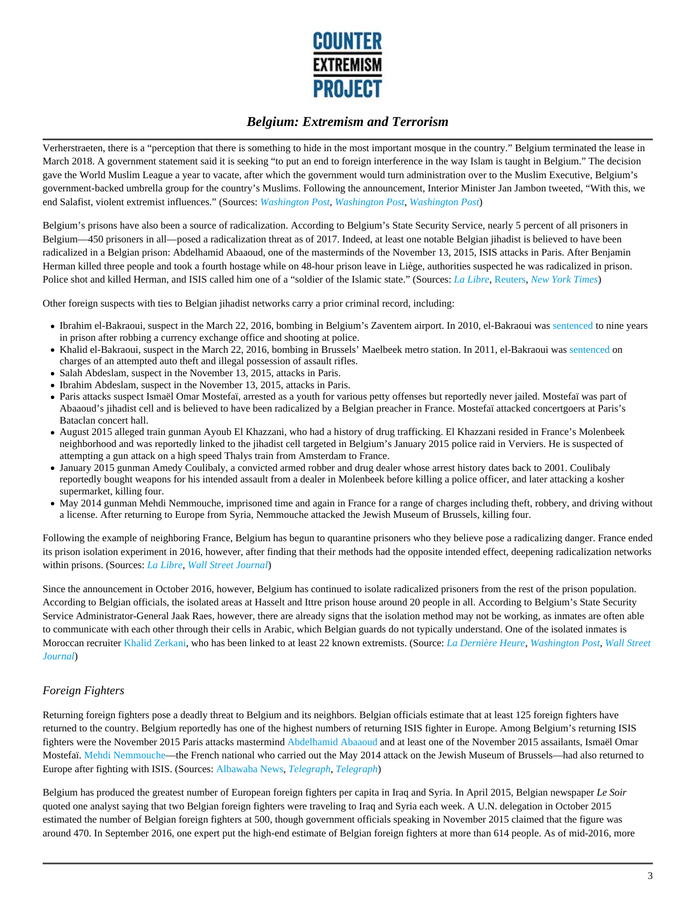

Verherstraeten, there is a "perception that there is something to hide in the most important mosque in the country." Belgium terminated the lease in March 2018. A government statement said it is seeking "to put an end to foreign interference in the way Islam is taught in Belgium." The decision gave the World Muslim League a year to vacate, after which the government would turn administration over to the Muslim Executive, Belgium's government-backed umbrella group for the country's Muslims. Following the announcement, Interior Minister Jan Jambon tweeted, "With this, we end Salafist, violent extremist influences." (Sources: *Washington Post*, *Washington Post*, *Washington Post*)

Belgium's prisons have also been a source of radicalization. According to Belgium's State Security Service, nearly 5 percent of all prisoners in Belgium—450 prisoners in all—posed a radicalization threat as of 2017. Indeed, at least one notable Belgian jihadist is believed to have been radicalized in a Belgian prison: Abdelhamid Abaaoud, one of the masterminds of the November 13, 2015, ISIS attacks in Paris. After Benjamin Herman killed three people and took a fourth hostage while on 48-hour prison leave in Liège, authorities suspected he was radicalized in prison. Police shot and killed Herman, and ISIS called him one of a "soldier of the Islamic state." (Sources: *La Libre*, Reuters, *New York Times*)

Other foreign suspects with ties to Belgian jihadist networks carry a prior criminal record, including:

- Ibrahim el-Bakraoui, suspect in the March 22, 2016, bombing in Belgium's Zaventem airport. In 2010, el-Bakraoui was sentenced to nine years in prison after robbing a currency exchange office and shooting at police.
- Khalid el-Bakraoui, suspect in the March 22, 2016, bombing in Brussels' Maelbeek metro station. In 2011, el-Bakraoui was sentenced on charges of an attempted auto theft and illegal possession of assault rifles.
- Salah Abdeslam, suspect in the November 13, 2015, attacks in Paris.
- Ibrahim Abdeslam, suspect in the November 13, 2015, attacks in Paris.
- Paris attacks suspect Ismaël Omar Mostefaï, arrested as a youth for various petty offenses but reportedly never jailed. Mostefaï was part of Abaaoud's jihadist cell and is believed to have been radicalized by a Belgian preacher in France. Mostefaï attacked concertgoers at Paris's Bataclan concert hall.
- August 2015 alleged train gunman Ayoub El Khazzani, who had a history of drug trafficking. El Khazzani resided in France's Molenbeek neighborhood and was reportedly linked to the jihadist cell targeted in Belgium's January 2015 police raid in Verviers. He is suspected of attempting a gun attack on a high speed Thalys train from Amsterdam to France.
- January 2015 gunman Amedy Coulibaly, a convicted armed robber and drug dealer whose arrest history dates back to 2001. Coulibaly reportedly bought weapons for his intended assault from a dealer in Molenbeek before killing a police officer, and later attacking a kosher supermarket, killing four.
- May 2014 gunman Mehdi Nemmouche, imprisoned time and again in France for a range of charges including theft, robbery, and driving without a license. After returning to Europe from Syria, Nemmouche attacked the Jewish Museum of Brussels, killing four.

Following the example of neighboring France, Belgium has begun to quarantine prisoners who they believe pose a radicalizing danger. France ended its prison isolation experiment in 2016, however, after finding that their methods had the opposite intended effect, deepening radicalization networks within prisons. (Sources: *La Libre*, *Wall Street Journal*)

Since the announcement in October 2016, however, Belgium has continued to isolate radicalized prisoners from the rest of the prison population. According to Belgian officials, the isolated areas at Hasselt and Ittre prison house around 20 people in all. According to Belgium's State Security Service Administrator-General Jaak Raes, however, there are already signs that the isolation method may not be working, as inmates are often able to communicate with each other through their cells in Arabic, which Belgian guards do not typically understand. One of the isolated inmates is Moroccan recruiter Khalid Zerkani, who has been linked to at least 22 known extremists. (Source: *La Dernière Heure*, *Washington Post*, *Wall Street Journal*)

#### *Foreign Fighters*

Returning foreign fighters pose a deadly threat to Belgium and its neighbors. Belgian officials estimate that at least 125 foreign fighters have returned to the country. Belgium reportedly has one of the highest numbers of returning ISIS fighter in Europe. Among Belgium's returning ISIS fighters were the November 2015 Paris attacks mastermind Abdelhamid Abaaoud and at least one of the November 2015 assailants, Ismaël Omar Mostefaï. Mehdi Nemmouche—the French national who carried out the May 2014 attack on the Jewish Museum of Brussels—had also returned to Europe after fighting with ISIS. (Sources: Albawaba News, *Telegraph*, *Telegraph*)

Belgium has produced the greatest number of European foreign fighters per capita in Iraq and Syria. In April 2015, Belgian newspaper *Le Soir* quoted one analyst saying that two Belgian foreign fighters were traveling to Iraq and Syria each week. A U.N. delegation in October 2015 estimated the number of Belgian foreign fighters at 500, though government officials speaking in November 2015 claimed that the figure was around 470. In September 2016, one expert put the high-end estimate of Belgian foreign fighters at more than 614 people. As of mid-2016, more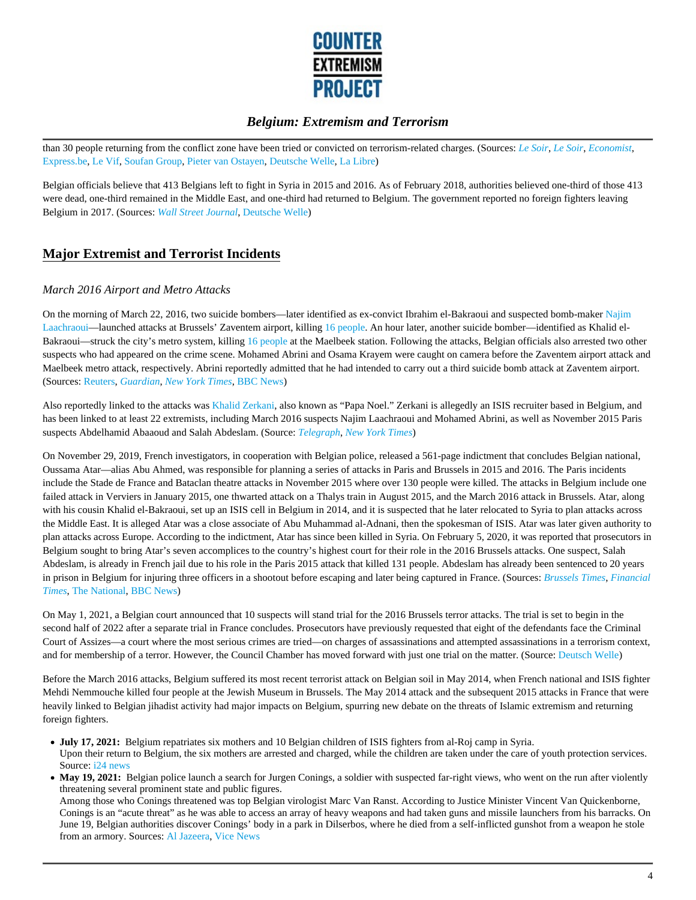

than 30 people returning from the conflict zone have been tried or convicted on terrorism-related charges. (Sources: *Le Soir*, *Le Soir*, *Economist*, Express.be, Le Vif, Soufan Group, Pieter van Ostayen, Deutsche Welle, La Libre)

Belgian officials believe that 413 Belgians left to fight in Syria in 2015 and 2016. As of February 2018, authorities believed one-third of those 413 were dead, one-third remained in the Middle East, and one-third had returned to Belgium. The government reported no foreign fighters leaving Belgium in 2017. (Sources: *Wall Street Journal*, Deutsche Welle)

## **Major Extremist and Terrorist Incidents**

#### *March 2016 Airport and Metro Attacks*

On the morning of March 22, 2016, two suicide bombers—later identified as ex-convict Ibrahim el-Bakraoui and suspected bomb-maker Najim Laachraoui—launched attacks at Brussels' Zaventem airport, killing 16 people. An hour later, another suicide bomber—identified as Khalid el-Bakraoui—struck the city's metro system, killing 16 people at the Maelbeek station. Following the attacks, Belgian officials also arrested two other suspects who had appeared on the crime scene. Mohamed Abrini and Osama Krayem were caught on camera before the Zaventem airport attack and Maelbeek metro attack, respectively. Abrini reportedly admitted that he had intended to carry out a third suicide bomb attack at Zaventem airport. (Sources: Reuters, *Guardian*, *New York Times*, BBC News)

Also reportedly linked to the attacks was Khalid Zerkani, also known as "Papa Noel." Zerkani is allegedly an ISIS recruiter based in Belgium, and has been linked to at least 22 extremists, including March 2016 suspects Najim Laachraoui and Mohamed Abrini, as well as November 2015 Paris suspects Abdelhamid Abaaoud and Salah Abdeslam. (Source: *Telegraph*, *New York Times*)

On November 29, 2019, French investigators, in cooperation with Belgian police, released a 561-page indictment that concludes Belgian national, Oussama Atar—alias Abu Ahmed, was responsible for planning a series of attacks in Paris and Brussels in 2015 and 2016. The Paris incidents include the Stade de France and Bataclan theatre attacks in November 2015 where over 130 people were killed. The attacks in Belgium include one failed attack in Verviers in January 2015, one thwarted attack on a Thalys train in August 2015, and the March 2016 attack in Brussels. Atar, along with his cousin Khalid el-Bakraoui, set up an ISIS cell in Belgium in 2014, and it is suspected that he later relocated to Syria to plan attacks across the Middle East. It is alleged Atar was a close associate of Abu Muhammad al-Adnani, then the spokesman of ISIS. Atar was later given authority to plan attacks across Europe. According to the indictment, Atar has since been killed in Syria. On February 5, 2020, it was reported that prosecutors in Belgium sought to bring Atar's seven accomplices to the country's highest court for their role in the 2016 Brussels attacks. One suspect, Salah Abdeslam, is already in French jail due to his role in the Paris 2015 attack that killed 131 people. Abdeslam has already been sentenced to 20 years in prison in Belgium for injuring three officers in a shootout before escaping and later being captured in France. (Sources: *Brussels Times*, *Financial Times*, The National, BBC News)

On May 1, 2021, a Belgian court announced that 10 suspects will stand trial for the 2016 Brussels terror attacks. The trial is set to begin in the second half of 2022 after a separate trial in France concludes. Prosecutors have previously requested that eight of the defendants face the Criminal Court of Assizes—a court where the most serious crimes are tried—on charges of assassinations and attempted assassinations in a terrorism context, and for membership of a terror. However, the Council Chamber has moved forward with just one trial on the matter. (Source: Deutsch Welle)

Before the March 2016 attacks, Belgium suffered its most recent terrorist attack on Belgian soil in May 2014, when French national and ISIS fighter Mehdi Nemmouche killed four people at the Jewish Museum in Brussels. The May 2014 attack and the subsequent 2015 attacks in France that were heavily linked to Belgian jihadist activity had major impacts on Belgium, spurring new debate on the threats of Islamic extremism and returning foreign fighters.

- **July 17, 2021:** Belgium repatriates six mothers and 10 Belgian children of ISIS fighters from al-Roj camp in Syria. Upon their return to Belgium, the six mothers are arrested and charged, while the children are taken under the care of youth protection services. Source: i24 news
- May 19, 2021: Belgian police launch a search for Jurgen Conings, a soldier with suspected far-right views, who went on the run after violently threatening several prominent state and public figures.

Among those who Conings threatened was top Belgian virologist Marc Van Ranst. According to Justice Minister Vincent Van Quickenborne, Conings is an "acute threat" as he was able to access an array of heavy weapons and had taken guns and missile launchers from his barracks. On June 19, Belgian authorities discover Conings' body in a park in Dilserbos, where he died from a self-inflicted gunshot from a weapon he stole from an armory. Sources: Al Jazeera, Vice News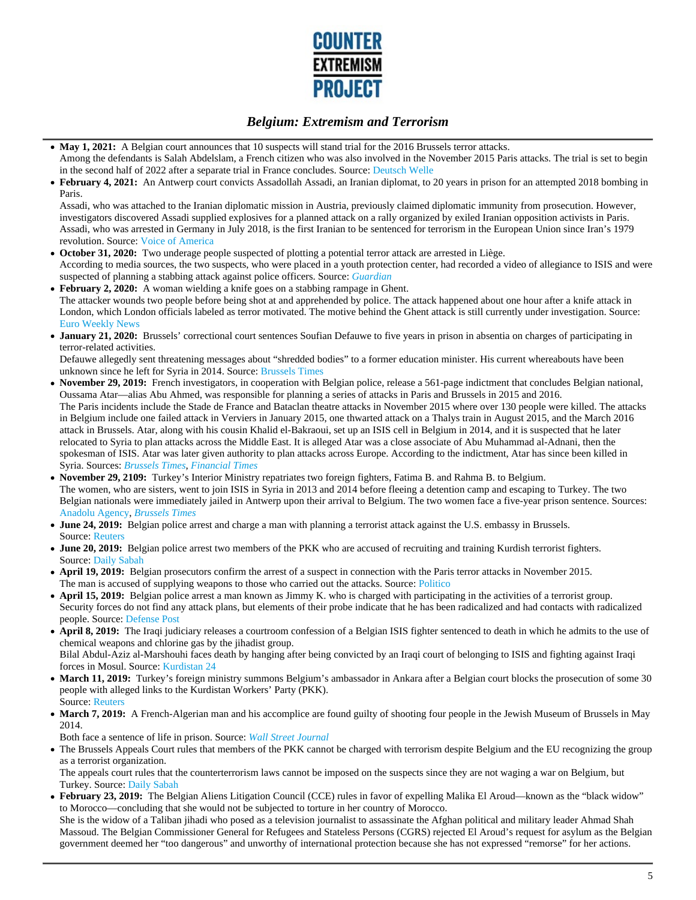

- May 1, 2021: A Belgian court announces that 10 suspects will stand trial for the 2016 Brussels terror attacks. Among the defendants is Salah Abdelslam, a French citizen who was also involved in the November 2015 Paris attacks. The trial is set to begin in the second half of 2022 after a separate trial in France concludes. Source: Deutsch Welle
- **February 4, 2021:** An Antwerp court convicts Assadollah Assadi, an Iranian diplomat, to 20 years in prison for an attempted 2018 bombing in Paris.

Assadi, who was attached to the Iranian diplomatic mission in Austria, previously claimed diplomatic immunity from prosecution. However, investigators discovered Assadi supplied explosives for a planned attack on a rally organized by exiled Iranian opposition activists in Paris. Assadi, who was arrested in Germany in July 2018, is the first Iranian to be sentenced for terrorism in the European Union since Iran's 1979 revolution. Source: Voice of America

- **October 31, 2020:** Two underage people suspected of plotting a potential terror attack are arrested in Liège. According to media sources, the two suspects, who were placed in a youth protection center, had recorded a video of allegiance to ISIS and were suspected of planning a stabbing attack against police officers. Source: *Guardian*
- **February 2, 2020:** A woman wielding a knife goes on a stabbing rampage in Ghent.  $\bullet$ The attacker wounds two people before being shot at and apprehended by police. The attack happened about one hour after a knife attack in London, which London officials labeled as terror motivated. The motive behind the Ghent attack is still currently under investigation. Source: Euro Weekly News
- **January 21, 2020:** Brussels' correctional court sentences Soufian Defauwe to five years in prison in absentia on charges of participating in terror-related activities.

Defauwe allegedly sent threatening messages about "shredded bodies" to a former education minister. His current whereabouts have been unknown since he left for Syria in 2014. Source: Brussels Times

- **November 29, 2019:** French investigators, in cooperation with Belgian police, release a 561-page indictment that concludes Belgian national, Oussama Atar—alias Abu Ahmed, was responsible for planning a series of attacks in Paris and Brussels in 2015 and 2016. The Paris incidents include the Stade de France and Bataclan theatre attacks in November 2015 where over 130 people were killed. The attacks in Belgium include one failed attack in Verviers in January 2015, one thwarted attack on a Thalys train in August 2015, and the March 2016 attack in Brussels. Atar, along with his cousin Khalid el-Bakraoui, set up an ISIS cell in Belgium in 2014, and it is suspected that he later relocated to Syria to plan attacks across the Middle East. It is alleged Atar was a close associate of Abu Muhammad al-Adnani, then the spokesman of ISIS. Atar was later given authority to plan attacks across Europe. According to the indictment, Atar has since been killed in Syria. Sources: *Brussels Times*, *Financial Times*
- **November 29, 2109:** Turkey's Interior Ministry repatriates two foreign fighters, Fatima B. and Rahma B. to Belgium. The women, who are sisters, went to join ISIS in Syria in 2013 and 2014 before fleeing a detention camp and escaping to Turkey. The two Belgian nationals were immediately jailed in Antwerp upon their arrival to Belgium. The two women face a five-year prison sentence. Sources: Anadolu Agency, *Brussels Times*
- **June 24, 2019:** Belgian police arrest and charge a man with planning a terrorist attack against the U.S. embassy in Brussels. Source: Reuters
- **June 20, 2019:** Belgian police arrest two members of the PKK who are accused of recruiting and training Kurdish terrorist fighters. Source: Daily Sabah
- **April 19, 2019:** Belgian prosecutors confirm the arrest of a suspect in connection with the Paris terror attacks in November 2015. The man is accused of supplying weapons to those who carried out the attacks. Source: Politico
- **April 15, 2019:** Belgian police arrest a man known as Jimmy K. who is charged with participating in the activities of a terrorist group. Security forces do not find any attack plans, but elements of their probe indicate that he has been radicalized and had contacts with radicalized people. Source: Defense Post
- **April 8, 2019:** The Iraqi judiciary releases a courtroom confession of a Belgian ISIS fighter sentenced to death in which he admits to the use of chemical weapons and chlorine gas by the jihadist group. Bilal Abdul-Aziz al-Marshouhi faces death by hanging after being convicted by an Iraqi court of belonging to ISIS and fighting against Iraqi forces in Mosul. Source: Kurdistan 24
- March 11, 2019: Turkey's foreign ministry summons Belgium's ambassador in Ankara after a Belgian court blocks the prosecution of some 30 people with alleged links to the Kurdistan Workers' Party (PKK). Source: Reuters
- **March 7, 2019:** A French-Algerian man and his accomplice are found guilty of shooting four people in the Jewish Museum of Brussels in May 2014.

Both face a sentence of life in prison. Source: *Wall Street Journal*

The Brussels Appeals Court rules that members of the PKK cannot be charged with terrorism despite Belgium and the EU recognizing the group as a terrorist organization.

The appeals court rules that the counterterrorism laws cannot be imposed on the suspects since they are not waging a war on Belgium, but Turkey. Source: Daily Sabah

• February 23, 2019: The Belgian Aliens Litigation Council (CCE) rules in favor of expelling Malika El Aroud—known as the "black widow" to Morocco—concluding that she would not be subjected to torture in her country of Morocco. She is the widow of a Taliban jihadi who posed as a television journalist to assassinate the Afghan political and military leader Ahmad Shah

Massoud. The Belgian Commissioner General for Refugees and Stateless Persons (CGRS) rejected El Aroud's request for asylum as the Belgian government deemed her "too dangerous" and unworthy of international protection because she has not expressed "remorse" for her actions.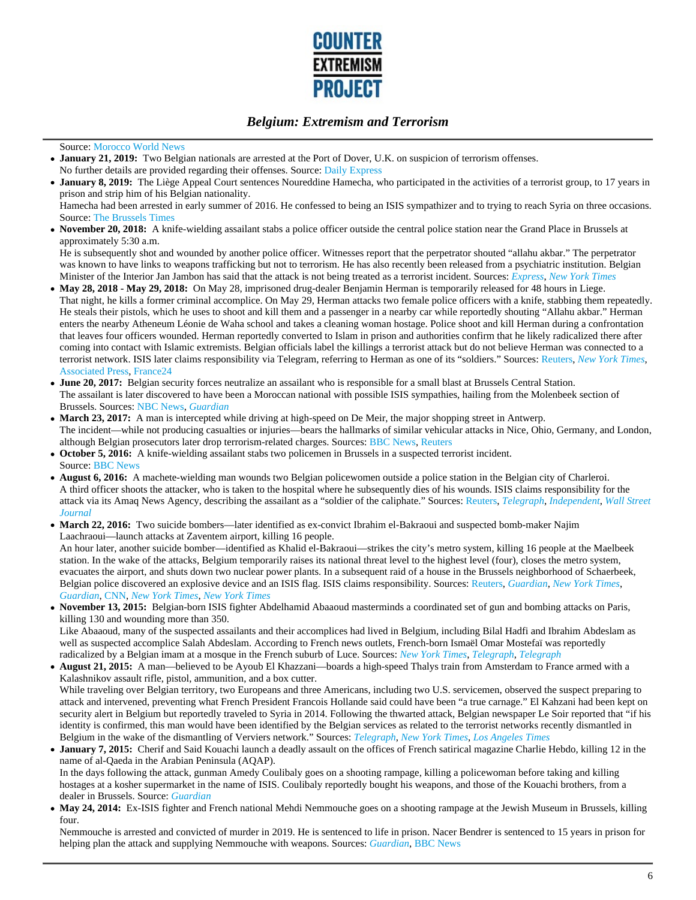

#### Source: Morocco World News

- **January 21, 2019:** Two Belgian nationals are arrested at the Port of Dover, U.K. on suspicion of terrorism offenses. No further details are provided regarding their offenses. Source: Daily Express
- **January 8, 2019:** The Liège Appeal Court sentences Noureddine Hamecha, who participated in the activities of a terrorist group, to 17 years in prison and strip him of his Belgian nationality.
- Hamecha had been arrested in early summer of 2016. He confessed to being an ISIS sympathizer and to trying to reach Syria on three occasions. Source: The Brussels Times
- **November 20, 2018:** A knife-wielding assailant stabs a police officer outside the central police station near the Grand Place in Brussels at approximately 5:30 a.m.

He is subsequently shot and wounded by another police officer. Witnesses report that the perpetrator shouted "allahu akbar." The perpetrator was known to have links to weapons trafficking but not to terrorism. He has also recently been released from a psychiatric institution. Belgian Minister of the Interior Jan Jambon has said that the attack is not being treated as a terrorist incident. Sources: *Express*, *New York Times*

- **May 28, 2018 May 29, 2018:** On May 28, imprisoned drug-dealer Benjamin Herman is temporarily released for 48 hours in Liege. That night, he kills a former criminal accomplice. On May 29, Herman attacks two female police officers with a knife, stabbing them repeatedly. He steals their pistols, which he uses to shoot and kill them and a passenger in a nearby car while reportedly shouting "Allahu akbar." Herman enters the nearby Atheneum Léonie de Waha school and takes a cleaning woman hostage. Police shoot and kill Herman during a confrontation that leaves four officers wounded. Herman reportedly converted to Islam in prison and authorities confirm that he likely radicalized there after coming into contact with Islamic extremists. Belgian officials label the killings a terrorist attack but do not believe Herman was connected to a terrorist network. ISIS later claims responsibility via Telegram, referring to Herman as one of its "soldiers." Sources: Reuters, *New York Times*, Associated Press, France24
- **June 20, 2017:** Belgian security forces neutralize an assailant who is responsible for a small blast at Brussels Central Station. The assailant is later discovered to have been a Moroccan national with possible ISIS sympathies, hailing from the Molenbeek section of Brussels. Sources: NBC News, *Guardian*
- **March 23, 2017:** A man is intercepted while driving at high-speed on De Meir, the major shopping street in Antwerp. The incident—while not producing casualties or injuries—bears the hallmarks of similar vehicular attacks in Nice, Ohio, Germany, and London, although Belgian prosecutors later drop terrorism-related charges. Sources: BBC News, Reuters
- **October 5, 2016:** A knife-wielding assailant stabs two policemen in Brussels in a suspected terrorist incident. Source: BBC News
- **August 6, 2016:** A machete-wielding man wounds two Belgian policewomen outside a police station in the Belgian city of Charleroi. A third officer shoots the attacker, who is taken to the hospital where he subsequently dies of his wounds. ISIS claims responsibility for the attack via its Amaq News Agency, describing the assailant as a "soldier of the caliphate." Sources: Reuters, *Telegraph*, *Independent*, *Wall Street Journal*
- **March 22, 2016:** Two suicide bombers—later identified as ex-convict Ibrahim el-Bakraoui and suspected bomb-maker Najim Laachraoui—launch attacks at Zaventem airport, killing 16 people.

An hour later, another suicide bomber—identified as Khalid el-Bakraoui—strikes the city's metro system, killing 16 people at the Maelbeek station. In the wake of the attacks, Belgium temporarily raises its national threat level to the highest level (four), closes the metro system, evacuates the airport, and shuts down two nuclear power plants. In a subsequent raid of a house in the Brussels neighborhood of Schaerbeek, Belgian police discovered an explosive device and an ISIS flag. ISIS claims responsibility. Sources: Reuters, *Guardian*, *New York Times*, *Guardian*, CNN, *New York Times*, *New York Times*

**November 13, 2015:** Belgian-born ISIS fighter Abdelhamid Abaaoud masterminds a coordinated set of gun and bombing attacks on Paris, killing 130 and wounding more than 350.

Like Abaaoud, many of the suspected assailants and their accomplices had lived in Belgium, including Bilal Hadfi and Ibrahim Abdeslam as well as suspected accomplice Salah Abdeslam. According to French news outlets, French-born Ismaël Omar Mostefaï was reportedly radicalized by a Belgian imam at a mosque in the French suburb of Luce. Sources: *New York Times*, *Telegraph*, *Telegraph*

- **August 21, 2015:** A man—believed to be Ayoub El Khazzani—boards a high-speed Thalys train from Amsterdam to France armed with a Kalashnikov assault rifle, pistol, ammunition, and a box cutter. While traveling over Belgian territory, two Europeans and three Americans, including two U.S. servicemen, observed the suspect preparing to attack and intervened, preventing what French President Francois Hollande said could have been "a true carnage." El Kahzani had been kept on security alert in Belgium but reportedly traveled to Syria in 2014. Following the thwarted attack, Belgian newspaper Le Soir reported that "if his identity is confirmed, this man would have been identified by the Belgian services as related to the terrorist networks recently dismantled in Belgium in the wake of the dismantling of Verviers network." Sources: *Telegraph*, *New York Times*, *Los Angeles Times*
- **January 7, 2015:** Cherif and Said Kouachi launch a deadly assault on the offices of French satirical magazine Charlie Hebdo, killing 12 in the name of al-Qaeda in the Arabian Peninsula (AQAP). In the days following the attack, gunman Amedy Coulibaly goes on a shooting rampage, killing a policewoman before taking and killing hostages at a kosher supermarket in the name of ISIS. Coulibaly reportedly bought his weapons, and those of the Kouachi brothers, from a dealer in Brussels. Source: *Guardian*
- May 24, 2014: Ex-ISIS fighter and French national Mehdi Nemmouche goes on a shooting rampage at the Jewish Museum in Brussels, killing four.

Nemmouche is arrested and convicted of murder in 2019. He is sentenced to life in prison. Nacer Bendrer is sentenced to 15 years in prison for helping plan the attack and supplying Nemmouche with weapons. Sources: *Guardian*, BBC News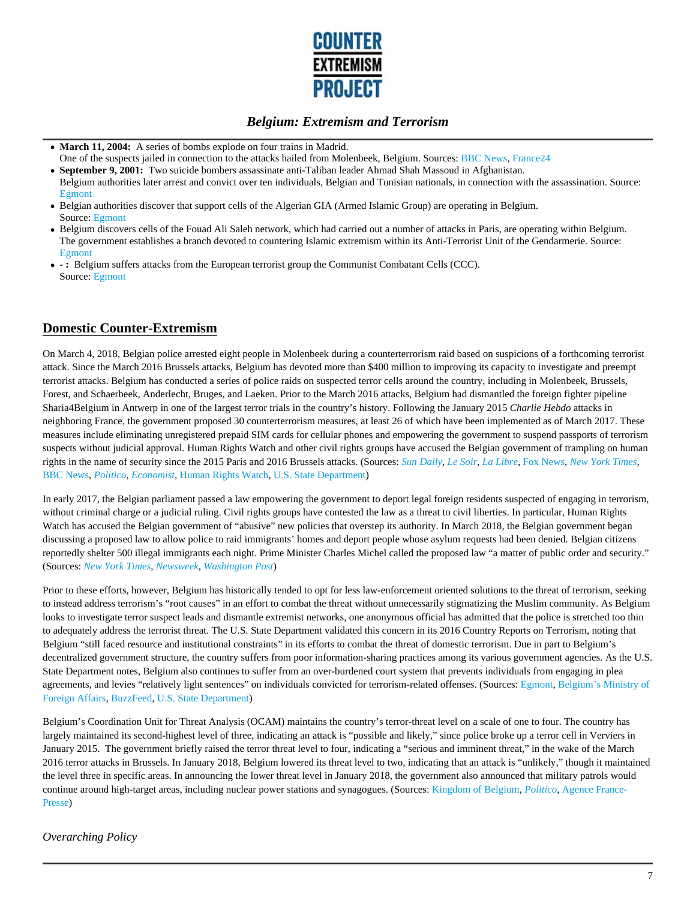

- March 11, 2004: A series of bombs explode on four trains in Madrid.
- One of the suspects jailed in connection to the attacks hailed from Molenbeek, Belgium. Sources: BBC News, France24 **September 9, 2001:** Two suicide bombers assassinate anti-Taliban leader Ahmad Shah Massoud in Afghanistan.
- Belgium authorities later arrest and convict over ten individuals, Belgian and Tunisian nationals, in connection with the assassination. Source: Egmont
- Belgian authorities discover that support cells of the Algerian GIA (Armed Islamic Group) are operating in Belgium. Source: Egmont
- Belgium discovers cells of the Fouad Ali Saleh network, which had carried out a number of attacks in Paris, are operating within Belgium. The government establishes a branch devoted to countering Islamic extremism within its Anti-Terrorist Unit of the Gendarmerie. Source: Egmont
- **:** Belgium suffers attacks from the European terrorist group the Communist Combatant Cells (CCC). Source: Egmont

## **Domestic Counter-Extremism**

On March 4, 2018, Belgian police arrested eight people in Molenbeek during a counterterrorism raid based on suspicions of a forthcoming terrorist attack. Since the March 2016 Brussels attacks, Belgium has devoted more than \$400 million to improving its capacity to investigate and preempt terrorist attacks. Belgium has conducted a series of police raids on suspected terror cells around the country, including in Molenbeek, Brussels, Forest, and Schaerbeek, Anderlecht, Bruges, and Laeken. Prior to the March 2016 attacks, Belgium had dismantled the foreign fighter pipeline Sharia4Belgium in Antwerp in one of the largest terror trials in the country's history. Following the January 2015 *Charlie Hebdo* attacks in neighboring France, the government proposed 30 counterterrorism measures, at least 26 of which have been implemented as of March 2017. These measures include eliminating unregistered prepaid SIM cards for cellular phones and empowering the government to suspend passports of terrorism suspects without judicial approval. Human Rights Watch and other civil rights groups have accused the Belgian government of trampling on human rights in the name of security since the 2015 Paris and 2016 Brussels attacks. (Sources: *Sun Daily*, *Le Soir*, *La Libre*, Fox News, *New York Times*, BBC News, *Politico*, *Economist*, Human Rights Watch, U.S. State Department)

In early 2017, the Belgian parliament passed a law empowering the government to deport legal foreign residents suspected of engaging in terrorism, without criminal charge or a judicial ruling. Civil rights groups have contested the law as a threat to civil liberties. In particular, Human Rights Watch has accused the Belgian government of "abusive" new policies that overstep its authority. In March 2018, the Belgian government began discussing a proposed law to allow police to raid immigrants' homes and deport people whose asylum requests had been denied. Belgian citizens reportedly shelter 500 illegal immigrants each night. Prime Minister Charles Michel called the proposed law "a matter of public order and security." (Sources: *New York Times*, *Newsweek*, *Washington Post*)

Prior to these efforts, however, Belgium has historically tended to opt for less law-enforcement oriented solutions to the threat of terrorism, seeking to instead address terrorism's "root causes" in an effort to combat the threat without unnecessarily stigmatizing the Muslim community. As Belgium looks to investigate terror suspect leads and dismantle extremist networks, one anonymous official has admitted that the police is stretched too thin to adequately address the terrorist threat. The U.S. State Department validated this concern in its 2016 Country Reports on Terrorism, noting that Belgium "still faced resource and institutional constraints" in its efforts to combat the threat of domestic terrorism. Due in part to Belgium's decentralized government structure, the country suffers from poor information-sharing practices among its various government agencies. As the U.S. State Department notes, Belgium also continues to suffer from an over-burdened court system that prevents individuals from engaging in plea agreements, and levies "relatively light sentences" on individuals convicted for terrorism-related offenses. (Sources: Egmont, Belgium's Ministry of Foreign Affairs, BuzzFeed, U.S. State Department)

Belgium's Coordination Unit for Threat Analysis (OCAM) maintains the country's terror-threat level on a scale of one to four. The country has largely maintained its second-highest level of three, indicating an attack is "possible and likely," since police broke up a terror cell in Verviers in January 2015. The government briefly raised the terror threat level to four, indicating a "serious and imminent threat," in the wake of the March 2016 terror attacks in Brussels. In January 2018, Belgium lowered its threat level to two, indicating that an attack is "unlikely," though it maintained the level three in specific areas. In announcing the lower threat level in January 2018, the government also announced that military patrols would continue around high-target areas, including nuclear power stations and synagogues. (Sources: Kingdom of Belgium, *Politico*, Agence France-Presse)

### *Overarching Policy*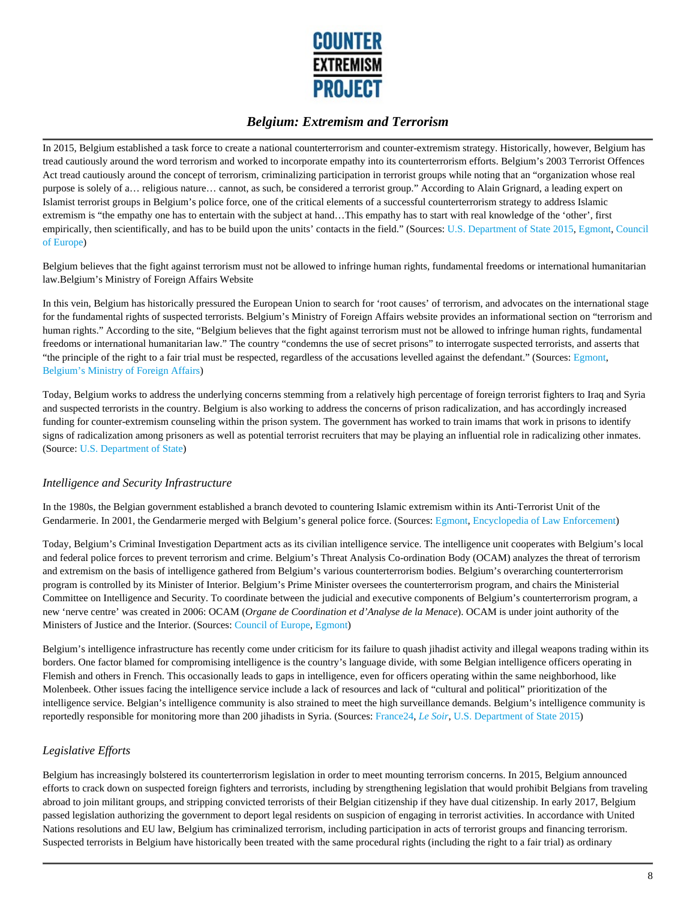

In 2015, Belgium established a task force to create a national counterterrorism and counter-extremism strategy. Historically, however, Belgium has tread cautiously around the word terrorism and worked to incorporate empathy into its counterterrorism efforts. Belgium's 2003 Terrorist Offences Act tread cautiously around the concept of terrorism, criminalizing participation in terrorist groups while noting that an "organization whose real purpose is solely of a… religious nature… cannot, as such, be considered a terrorist group." According to Alain Grignard, a leading expert on Islamist terrorist groups in Belgium's police force, one of the critical elements of a successful counterterrorism strategy to address Islamic extremism is "the empathy one has to entertain with the subject at hand…This empathy has to start with real knowledge of the 'other', first empirically, then scientifically, and has to be build upon the units' contacts in the field." (Sources: U.S. Department of State 2015, Egmont, Council of Europe)

Belgium believes that the fight against terrorism must not be allowed to infringe human rights, fundamental freedoms or international humanitarian law.Belgium's Ministry of Foreign Affairs Website

In this vein, Belgium has historically pressured the European Union to search for 'root causes' of terrorism, and advocates on the international stage for the fundamental rights of suspected terrorists. Belgium's Ministry of Foreign Affairs website provides an informational section on "terrorism and human rights." According to the site, "Belgium believes that the fight against terrorism must not be allowed to infringe human rights, fundamental freedoms or international humanitarian law." The country "condemns the use of secret prisons" to interrogate suspected terrorists, and asserts that "the principle of the right to a fair trial must be respected, regardless of the accusations levelled against the defendant." (Sources: Egmont, Belgium's Ministry of Foreign Affairs)

Today, Belgium works to address the underlying concerns stemming from a relatively high percentage of foreign terrorist fighters to Iraq and Syria and suspected terrorists in the country. Belgium is also working to address the concerns of prison radicalization, and has accordingly increased funding for counter-extremism counseling within the prison system. The government has worked to train imams that work in prisons to identify signs of radicalization among prisoners as well as potential terrorist recruiters that may be playing an influential role in radicalizing other inmates. (Source: U.S. Department of State)

#### *Intelligence and Security Infrastructure*

In the 1980s, the Belgian government established a branch devoted to countering Islamic extremism within its Anti-Terrorist Unit of the Gendarmerie. In 2001, the Gendarmerie merged with Belgium's general police force. (Sources: Egmont, Encyclopedia of Law Enforcement)

Today, Belgium's Criminal Investigation Department acts as its civilian intelligence service. The intelligence unit cooperates with Belgium's local and federal police forces to prevent terrorism and crime. Belgium's Threat Analysis Co-ordination Body (OCAM) analyzes the threat of terrorism and extremism on the basis of intelligence gathered from Belgium's various counterterrorism bodies. Belgium's overarching counterterrorism program is controlled by its Minister of Interior. Belgium's Prime Minister oversees the counterterrorism program, and chairs the Ministerial Committee on Intelligence and Security. To coordinate between the judicial and executive components of Belgium's counterterrorism program, a new 'nerve centre' was created in 2006: OCAM (*Organe de Coordination et d'Analyse de la Menace*). OCAM is under joint authority of the Ministers of Justice and the Interior. (Sources: Council of Europe, Egmont)

Belgium's intelligence infrastructure has recently come under criticism for its failure to quash jihadist activity and illegal weapons trading within its borders. One factor blamed for compromising intelligence is the country's language divide, with some Belgian intelligence officers operating in Flemish and others in French. This occasionally leads to gaps in intelligence, even for officers operating within the same neighborhood, like Molenbeek. Other issues facing the intelligence service include a lack of resources and lack of "cultural and political" prioritization of the intelligence service. Belgian's intelligence community is also strained to meet the high surveillance demands. Belgium's intelligence community is reportedly responsible for monitoring more than 200 jihadists in Syria. (Sources: France24, *Le Soir*, U.S. Department of State 2015)

#### *Legislative Efforts*

Belgium has increasingly bolstered its counterterrorism legislation in order to meet mounting terrorism concerns. In 2015, Belgium announced efforts to crack down on suspected foreign fighters and terrorists, including by strengthening legislation that would prohibit Belgians from traveling abroad to join militant groups, and stripping convicted terrorists of their Belgian citizenship if they have dual citizenship. In early 2017, Belgium passed legislation authorizing the government to deport legal residents on suspicion of engaging in terrorist activities. In accordance with United Nations resolutions and EU law, Belgium has criminalized terrorism, including participation in acts of terrorist groups and financing terrorism. Suspected terrorists in Belgium have historically been treated with the same procedural rights (including the right to a fair trial) as ordinary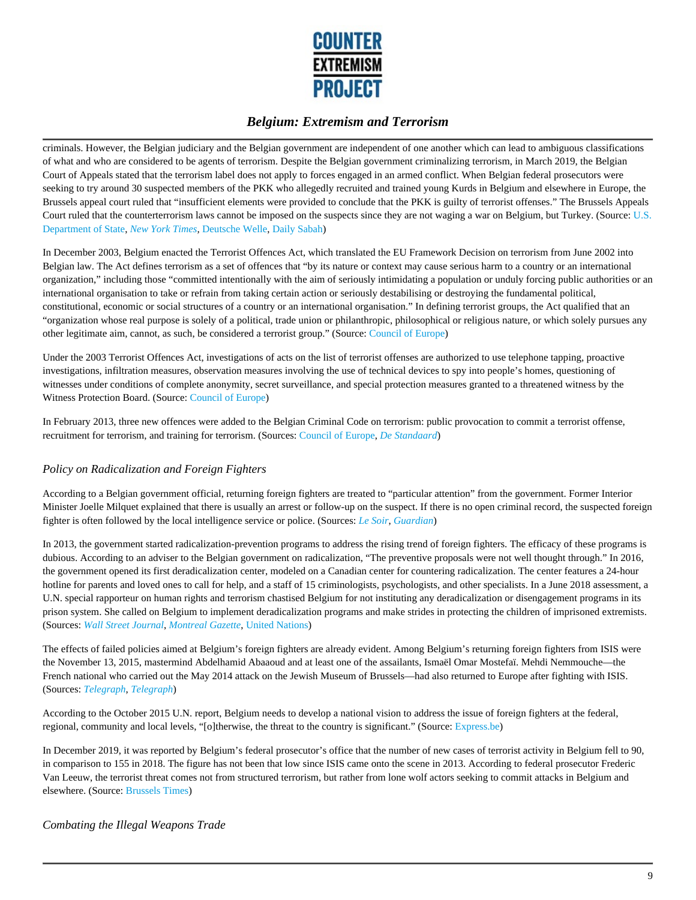

criminals. However, the Belgian judiciary and the Belgian government are independent of one another which can lead to ambiguous classifications of what and who are considered to be agents of terrorism. Despite the Belgian government criminalizing terrorism, in March 2019, the Belgian Court of Appeals stated that the terrorism label does not apply to forces engaged in an armed conflict. When Belgian federal prosecutors were seeking to try around 30 suspected members of the PKK who allegedly recruited and trained young Kurds in Belgium and elsewhere in Europe, the Brussels appeal court ruled that "insufficient elements were provided to conclude that the PKK is guilty of terrorist offenses." The Brussels Appeals Court ruled that the counterterrorism laws cannot be imposed on the suspects since they are not waging a war on Belgium, but Turkey. (Source: U.S. Department of State, *New York Times,* Deutsche Welle, Daily Sabah)

In December 2003, Belgium enacted the Terrorist Offences Act, which translated the EU Framework Decision on terrorism from June 2002 into Belgian law. The Act defines terrorism as a set of offences that "by its nature or context may cause serious harm to a country or an international organization," including those "committed intentionally with the aim of seriously intimidating a population or unduly forcing public authorities or an international organisation to take or refrain from taking certain action or seriously destabilising or destroying the fundamental political, constitutional, economic or social structures of a country or an international organisation." In defining terrorist groups, the Act qualified that an "organization whose real purpose is solely of a political, trade union or philanthropic, philosophical or religious nature, or which solely pursues any other legitimate aim, cannot, as such, be considered a terrorist group." (Source: Council of Europe)

Under the 2003 Terrorist Offences Act, investigations of acts on the list of terrorist offenses are authorized to use telephone tapping, proactive investigations, infiltration measures, observation measures involving the use of technical devices to spy into people's homes, questioning of witnesses under conditions of complete anonymity, secret surveillance, and special protection measures granted to a threatened witness by the Witness Protection Board. (Source: Council of Europe)

In February 2013, three new offences were added to the Belgian Criminal Code on terrorism: public provocation to commit a terrorist offense, recruitment for terrorism, and training for terrorism. (Sources: Council of Europe, *De Standaard*)

### *Policy on Radicalization and Foreign Fighters*

According to a Belgian government official, returning foreign fighters are treated to "particular attention" from the government. Former Interior Minister Joelle Milquet explained that there is usually an arrest or follow-up on the suspect. If there is no open criminal record, the suspected foreign fighter is often followed by the local intelligence service or police. (Sources: *Le Soir*, *Guardian*)

In 2013, the government started radicalization-prevention programs to address the rising trend of foreign fighters. The efficacy of these programs is dubious. According to an adviser to the Belgian government on radicalization, "The preventive proposals were not well thought through." In 2016, the government opened its first deradicalization center, modeled on a Canadian center for countering radicalization. The center features a 24-hour hotline for parents and loved ones to call for help, and a staff of 15 criminologists, psychologists, and other specialists. In a June 2018 assessment, a U.N. special rapporteur on human rights and terrorism chastised Belgium for not instituting any deradicalization or disengagement programs in its prison system. She called on Belgium to implement deradicalization programs and make strides in protecting the children of imprisoned extremists. (Sources: *Wall Street Journal*, *Montreal Gazette*, United Nations)

The effects of failed policies aimed at Belgium's foreign fighters are already evident. Among Belgium's returning foreign fighters from ISIS were the November 13, 2015, mastermind Abdelhamid Abaaoud and at least one of the assailants, Ismaël Omar Mostefaï. Mehdi Nemmouche—the French national who carried out the May 2014 attack on the Jewish Museum of Brussels—had also returned to Europe after fighting with ISIS. (Sources: *Telegraph*, *Telegraph*)

According to the October 2015 U.N. report, Belgium needs to develop a national vision to address the issue of foreign fighters at the federal, regional, community and local levels, "[o]therwise, the threat to the country is significant." (Source: Express.be)

In December 2019, it was reported by Belgium's federal prosecutor's office that the number of new cases of terrorist activity in Belgium fell to 90, in comparison to 155 in 2018. The figure has not been that low since ISIS came onto the scene in 2013. According to federal prosecutor Frederic Van Leeuw, the terrorist threat comes not from structured terrorism, but rather from lone wolf actors seeking to commit attacks in Belgium and elsewhere. (Source: Brussels Times)

#### *Combating the Illegal Weapons Trade*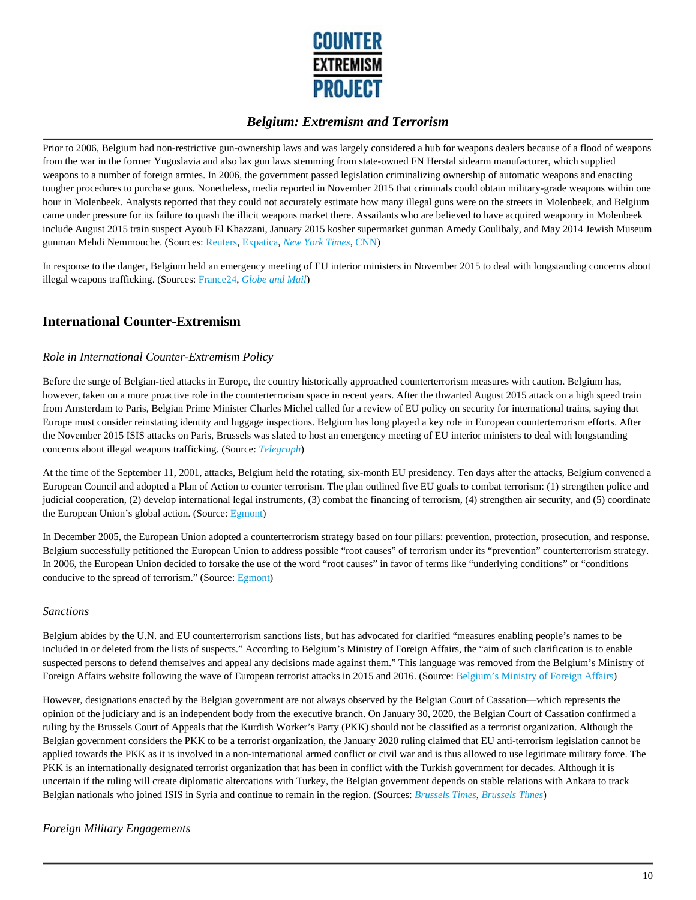

Prior to 2006, Belgium had non-restrictive gun-ownership laws and was largely considered a hub for weapons dealers because of a flood of weapons from the war in the former Yugoslavia and also lax gun laws stemming from state-owned FN Herstal sidearm manufacturer, which supplied weapons to a number of foreign armies. In 2006, the government passed legislation criminalizing ownership of automatic weapons and enacting tougher procedures to purchase guns. Nonetheless, media reported in November 2015 that criminals could obtain military-grade weapons within one hour in Molenbeek. Analysts reported that they could not accurately estimate how many illegal guns were on the streets in Molenbeek, and Belgium came under pressure for its failure to quash the illicit weapons market there. Assailants who are believed to have acquired weaponry in Molenbeek include August 2015 train suspect Ayoub El Khazzani, January 2015 kosher supermarket gunman Amedy Coulibaly, and May 2014 Jewish Museum gunman Mehdi Nemmouche. (Sources: Reuters, Expatica, *New York Times*, CNN)

In response to the danger, Belgium held an emergency meeting of EU interior ministers in November 2015 to deal with longstanding concerns about illegal weapons trafficking. (Sources: France24, *Globe and Mail*)

## **International Counter-Extremism**

#### *Role in International Counter-Extremism Policy*

Before the surge of Belgian-tied attacks in Europe, the country historically approached counterterrorism measures with caution. Belgium has, however, taken on a more proactive role in the counterterrorism space in recent years. After the thwarted August 2015 attack on a high speed train from Amsterdam to Paris, Belgian Prime Minister Charles Michel called for a review of EU policy on security for international trains, saying that Europe must consider reinstating identity and luggage inspections. Belgium has long played a key role in European counterterrorism efforts. After the November 2015 ISIS attacks on Paris, Brussels was slated to host an emergency meeting of EU interior ministers to deal with longstanding concerns about illegal weapons trafficking. (Source: *Telegraph*)

At the time of the September 11, 2001, attacks, Belgium held the rotating, six-month EU presidency. Ten days after the attacks, Belgium convened a European Council and adopted a Plan of Action to counter terrorism. The plan outlined five EU goals to combat terrorism: (1) strengthen police and judicial cooperation, (2) develop international legal instruments, (3) combat the financing of terrorism, (4) strengthen air security, and (5) coordinate the European Union's global action. (Source: Egmont)

In December 2005, the European Union adopted a counterterrorism strategy based on four pillars: prevention, protection, prosecution, and response. Belgium successfully petitioned the European Union to address possible "root causes" of terrorism under its "prevention" counterterrorism strategy. In 2006, the European Union decided to forsake the use of the word "root causes" in favor of terms like "underlying conditions" or "conditions conducive to the spread of terrorism." (Source: Egmont)

#### *Sanctions*

Belgium abides by the U.N. and EU counterterrorism sanctions lists, but has advocated for clarified "measures enabling people's names to be included in or deleted from the lists of suspects." According to Belgium's Ministry of Foreign Affairs, the "aim of such clarification is to enable suspected persons to defend themselves and appeal any decisions made against them." This language was removed from the Belgium's Ministry of Foreign Affairs website following the wave of European terrorist attacks in 2015 and 2016. (Source: Belgium's Ministry of Foreign Affairs)

However, designations enacted by the Belgian government are not always observed by the Belgian Court of Cassation—which represents the opinion of the judiciary and is an independent body from the executive branch. On January 30, 2020, the Belgian Court of Cassation confirmed a ruling by the Brussels Court of Appeals that the Kurdish Worker's Party (PKK) should not be classified as a terrorist organization. Although the Belgian government considers the PKK to be a terrorist organization, the January 2020 ruling claimed that EU anti-terrorism legislation cannot be applied towards the PKK as it is involved in a non-international armed conflict or civil war and is thus allowed to use legitimate military force. The PKK is an internationally designated terrorist organization that has been in conflict with the Turkish government for decades. Although it is uncertain if the ruling will create diplomatic altercations with Turkey, the Belgian government depends on stable relations with Ankara to track Belgian nationals who joined ISIS in Syria and continue to remain in the region. (Sources: *Brussels Times*, *Brussels Times*)

#### *Foreign Military Engagements*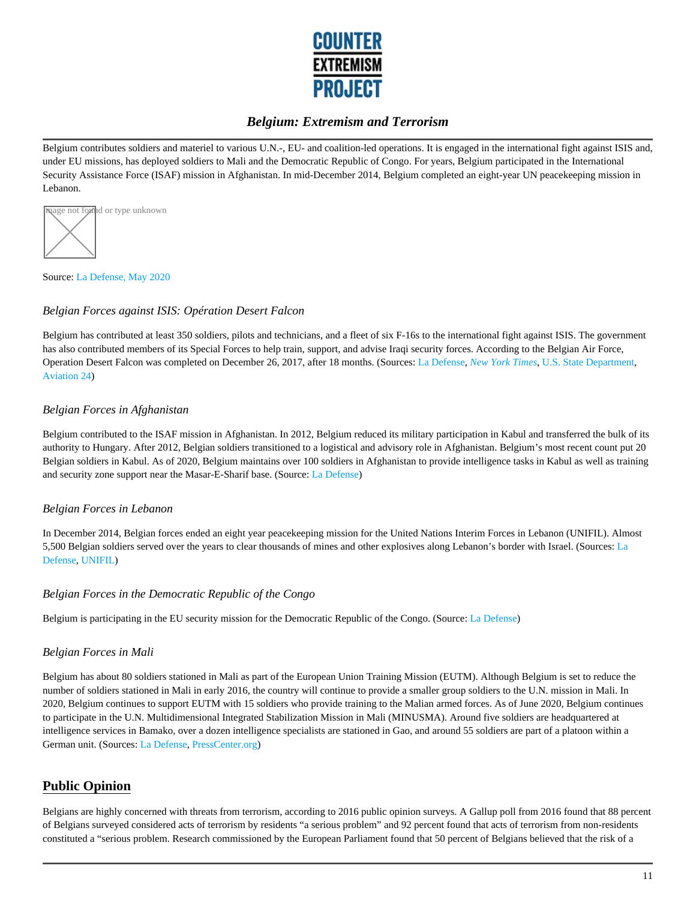

Belgium contributes soldiers and materiel to various U.N.-, EU- and coalition-led operations. It is engaged in the international fight against ISIS and, under EU missions, has deployed soldiers to Mali and the Democratic Republic of Congo. For years, Belgium participated in the International Security Assistance Force (ISAF) mission in Afghanistan. In mid-December 2014, Belgium completed an eight-year UN peacekeeping mission in Lebanon.



Source: La Defense, May 2020

#### *Belgian Forces against ISIS: Opération Desert Falcon*

Belgium has contributed at least 350 soldiers, pilots and technicians, and a fleet of six F-16s to the international fight against ISIS. The government has also contributed members of its Special Forces to help train, support, and advise Iraqi security forces. According to the Belgian Air Force, Operation Desert Falcon was completed on December 26, 2017, after 18 months. (Sources: La Defense, *New York Times*, U.S. State Department, Aviation 24)

#### *Belgian Forces in Afghanistan*

Belgium contributed to the ISAF mission in Afghanistan. In 2012, Belgium reduced its military participation in Kabul and transferred the bulk of its authority to Hungary. After 2012, Belgian soldiers transitioned to a logistical and advisory role in Afghanistan. Belgium's most recent count put 20 Belgian soldiers in Kabul. As of 2020, Belgium maintains over 100 soldiers in Afghanistan to provide intelligence tasks in Kabul as well as training and security zone support near the Masar-E-Sharif base. (Source: La Defense)

#### *Belgian Forces in Lebanon*

In December 2014, Belgian forces ended an eight year peacekeeping mission for the United Nations Interim Forces in Lebanon (UNIFIL). Almost 5,500 Belgian soldiers served over the years to clear thousands of mines and other explosives along Lebanon's border with Israel. (Sources: La Defense, UNIFIL)

#### *Belgian Forces in the Democratic Republic of the Congo*

Belgium is participating in the EU security mission for the Democratic Republic of the Congo. (Source: La Defense)

#### *Belgian Forces in Mali*

Belgium has about 80 soldiers stationed in Mali as part of the European Union Training Mission (EUTM). Although Belgium is set to reduce the number of soldiers stationed in Mali in early 2016, the country will continue to provide a smaller group soldiers to the U.N. mission in Mali. In 2020, Belgium continues to support EUTM with 15 soldiers who provide training to the Malian armed forces. As of June 2020, Belgium continues to participate in the U.N. Multidimensional Integrated Stabilization Mission in Mali (MINUSMA). Around five soldiers are headquartered at intelligence services in Bamako, over a dozen intelligence specialists are stationed in Gao, and around 55 soldiers are part of a platoon within a German unit. (Sources: La Defense, PressCenter.org)

## **Public Opinion**

Belgians are highly concerned with threats from terrorism, according to 2016 public opinion surveys. A Gallup poll from 2016 found that 88 percent of Belgians surveyed considered acts of terrorism by residents "a serious problem" and 92 percent found that acts of terrorism from non-residents constituted a "serious problem. Research commissioned by the European Parliament found that 50 percent of Belgians believed that the risk of a